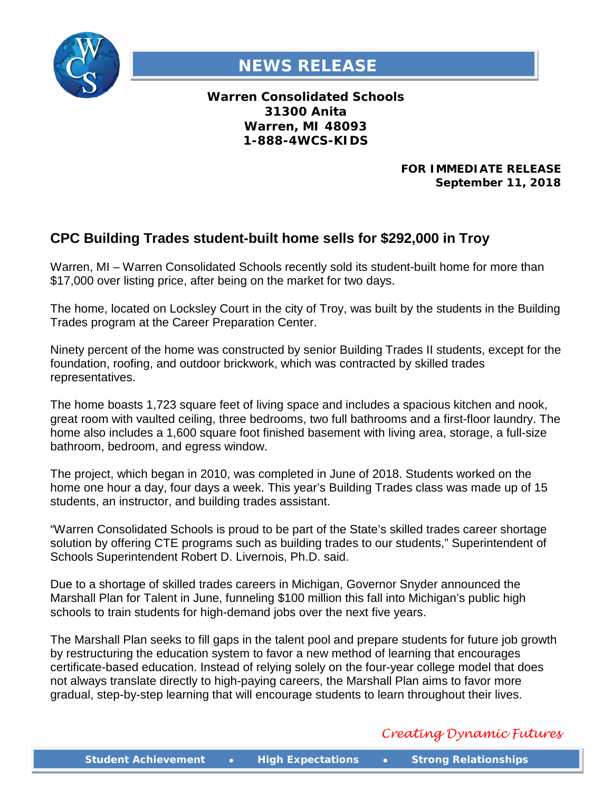

## **NEWS RELEASE**

**Warren Consolidated Schools 31300 Anita Warren, MI 48093 1-888-4WCS-KIDS**

> **FOR IMMEDIATE RELEASE September 11, 2018**

## **CPC Building Trades student-built home sells for \$292,000 in Troy**

Warren, MI – Warren Consolidated Schools recently sold its student-built home for more than \$17,000 over listing price, after being on the market for two days.

The home, located on Locksley Court in the city of Troy, was built by the students in the Building Trades program at the Career Preparation Center.

Ninety percent of the home was constructed by senior Building Trades II students, except for the foundation, roofing, and outdoor brickwork, which was contracted by skilled trades representatives.

The home boasts 1,723 square feet of living space and includes a spacious kitchen and nook, great room with vaulted ceiling, three bedrooms, two full bathrooms and a first-floor laundry. The home also includes a 1,600 square foot finished basement with living area, storage, a full-size bathroom, bedroom, and egress window.

The project, which began in 2010, was completed in June of 2018. Students worked on the home one hour a day, four days a week. This year's Building Trades class was made up of 15 students, an instructor, and building trades assistant.

"Warren Consolidated Schools is proud to be part of the State's skilled trades career shortage solution by offering CTE programs such as building trades to our students," Superintendent of Schools Superintendent Robert D. Livernois, Ph.D. said.

Due to a shortage of skilled trades careers in Michigan, Governor Snyder announced the Marshall Plan for Talent in June, funneling \$100 million this fall into Michigan's public high schools to train students for high-demand jobs over the next five years.

The Marshall Plan seeks to fill gaps in the talent pool and prepare students for future job growth by restructuring the education system to favor a new method of learning that encourages certificate-based education. Instead of relying solely on the four-year college model that does not always translate directly to high-paying careers, the Marshall Plan aims to favor more gradual, step-by-step learning that will encourage students to learn throughout their lives.

## *Creating Dynamic Futures*